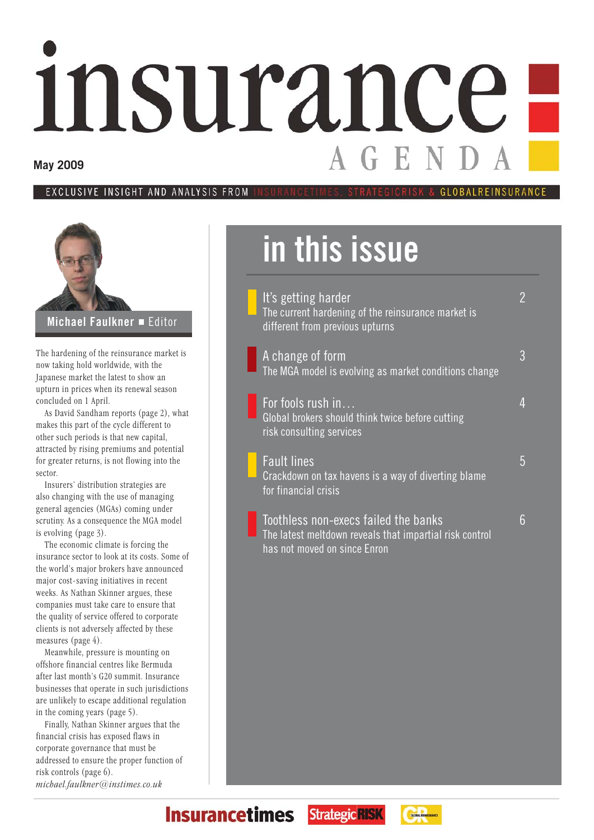# insurance **May 2009**

#### EXCLUSIVE INSIGHT AND ANALYSIS **FROM GIORAL REINSHRANC**



The hardening of the reinsurance market is now taking hold worldwide, with the Japanese market the latest to show an upturn in prices when its renewal season concluded on 1 April.

As David Sandham reports (page 2), what makes this part of the cycle different to other such periods is that new capital, attracted by rising premiums and potential for greater returns, is not flowing into the sector.

Insurers' distribution strategies are also changing with the use of managing general agencies (MGAs) coming under scrutiny. As a consequence the MGA model is evolving (page 3).

The economic climate is forcing the insurance sector to look at its costs. Some of the world's major brokers have announced major cost-saving initiatives in recent weeks. As Nathan Skinner argues, these companies must take care to ensure that the quality of service offered to corporate clients is not adversely affected by these measures (page 4).

Meanwhile, pressure is mounting on offshore financial centres like Bermuda after last month's G20 summit. Insurance businesses that operate in such jurisdictions are unlikely to escape additional regulation in the coming years (page 5).

Finally, Nathan Skinner argues that the financial crisis has exposed flaws in corporate governance that must be addressed to ensure the proper function of risk controls (page 6). *michael.faulkner@instimes.co.uk*

### **in this issue**

has not moved on since Enron

| It's getting harder<br>The current hardening of the reinsurance market is<br>different from previous upturns |   |
|--------------------------------------------------------------------------------------------------------------|---|
| A change of form<br>The MGA model is evolving as market conditions change                                    | 3 |
| For fools rush in<br>Global brokers should think twice before cutting<br>risk consulting services            |   |
| <b>Fault lines</b><br>Crackdown on tax havens is a way of diverting blame<br>for financial crisis            | 5 |
| Toothless non-execs failed the banks<br>The latest meltdown reveals that impartial risk control              | 6 |



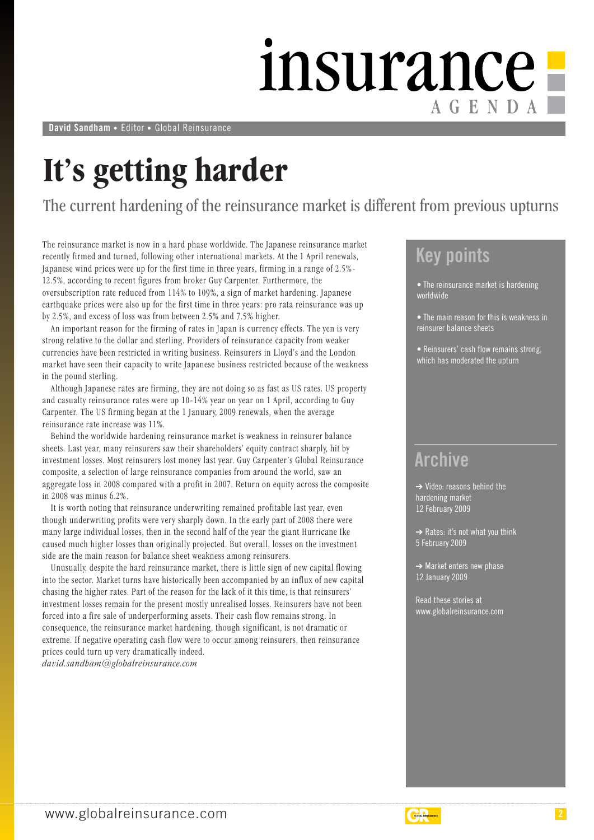### insurance AGENDA

**David Sandham** • Editor • Global Reinsurance

### **It's getting harder**

The current hardening of the reinsurance market is different from previous upturns

The reinsurance market is now in a hard phase worldwide. The Japanese reinsurance market recently firmed and turned, following other international markets. At the 1 April renewals, Japanese wind prices were up for the first time in three years, firming in a range of 2.5%- 12.5%, according to recent figures from broker Guy Carpenter. Furthermore, the oversubscription rate reduced from 114% to 109%, a sign of market hardening. Japanese earthquake prices were also up for the first time in three years: pro rata reinsurance was up by 2.5%, and excess of loss was from between 2.5% and 7.5% higher.

An important reason for the firming of rates in Japan is currency effects. The yen is very strong relative to the dollar and sterling. Providers of reinsurance capacity from weaker currencies have been restricted in writing business. Reinsurers in Lloyd's and the London market have seen their capacity to write Japanese business restricted because of the weakness in the pound sterling.

Although Japanese rates are firming, they are not doing so as fast as US rates. US property and casualty reinsurance rates were up 10-14% year on year on 1 April, according to Guy Carpenter. The US firming began at the 1 January, 2009 renewals, when the average reinsurance rate increase was 11%.

Behind the worldwide hardening reinsurance market is weakness in reinsurer balance sheets. Last year, many reinsurers saw their shareholders' equity contract sharply, hit by investment losses. Most reinsurers lost money last year. Guy Carpenter's Global Reinsurance composite, a selection of large reinsurance companies from around the world, saw an aggregate loss in 2008 compared with a profit in 2007. Return on equity across the composite in 2008 was minus 6.2%.

It is worth noting that reinsurance underwriting remained profitable last year, even though underwriting profits were very sharply down. In the early part of 2008 there were many large individual losses, then in the second half of the year the giant Hurricane Ike caused much higher losses than originally projected. But overall, losses on the investment side are the main reason for balance sheet weakness among reinsurers.

Unusually, despite the hard reinsurance market, there is little sign of new capital flowing into the sector. Market turns have historically been accompanied by an influx of new capital chasing the higher rates. Part of the reason for the lack of it this time, is that reinsurers' investment losses remain for the present mostly unrealised losses. Reinsurers have not been forced into a fire sale of underperforming assets. Their cash flow remains strong. In consequence, the reinsurance market hardening, though significant, is not dramatic or extreme. If negative operating cash flow were to occur among reinsurers, then reinsurance prices could turn up very dramatically indeed.

*david.sandham@globalreinsurance.com*

#### **Key points**

• The reinsurance market is hardening worldwide

- The main reason for this is weakness in reinsurer balance sheets
- Reinsurers' cash flow remains strong, which has moderated the upturn

#### **Archive**

 $\rightarrow$  Video: reasons behind the hardening market 12 February 2009

➔ Rates: it's not what you think 5 February 2009

**→ Market enters new phase** 12 January 2009

Read these stories at www.globalreinsurance.com

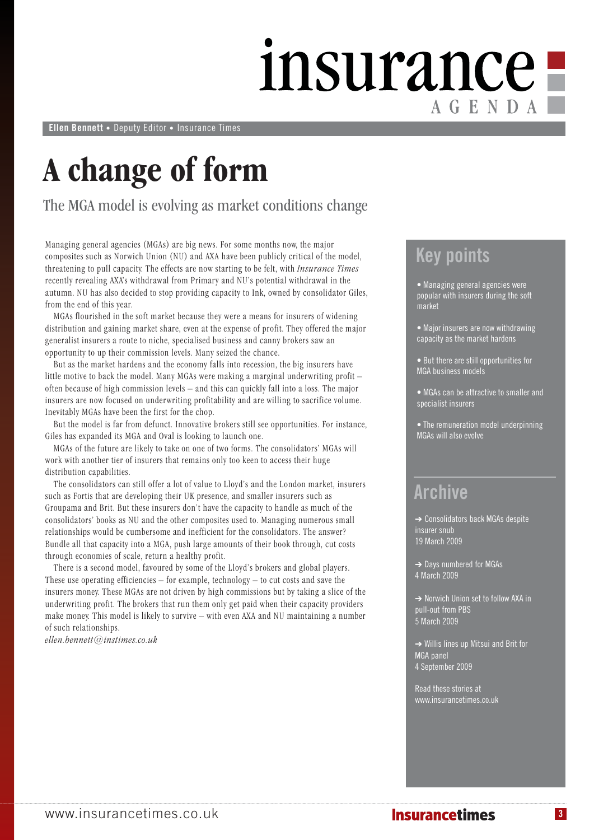### insurance! AGENDA

**Ellen Bennett** • Deputy Editor • Insurance Times

### **A change of form**

The MGA model is evolving as market conditions change

Managing general agencies (MGAs) are big news. For some months now, the major composites such as Norwich Union (NU) and AXA have been publicly critical of the model, threatening to pull capacity. The effects are now starting to be felt, with *Insurance Times* recently revealing AXA's withdrawal from Primary and NU's potential withdrawal in the autumn. NU has also decided to stop providing capacity to Ink, owned by consolidator Giles, from the end of this year.

MGAs flourished in the soft market because they were a means for insurers of widening distribution and gaining market share, even at the expense of profit. They offered the major generalist insurers a route to niche, specialised business and canny brokers saw an opportunity to up their commission levels. Many seized the chance.

But as the market hardens and the economy falls into recession, the big insurers have little motive to back the model. Many MGAs were making a marginal underwriting profit – often because of high commission levels – and this can quickly fall into a loss. The major insurers are now focused on underwriting profitability and are willing to sacrifice volume. Inevitably MGAs have been the first for the chop.

But the model is far from defunct. Innovative brokers still see opportunities. For instance, Giles has expanded its MGA and Oval is looking to launch one.

MGAs of the future are likely to take on one of two forms. The consolidators' MGAs will work with another tier of insurers that remains only too keen to access their huge distribution capabilities.

The consolidators can still offer a lot of value to Lloyd's and the London market, insurers such as Fortis that are developing their UK presence, and smaller insurers such as Groupama and Brit. But these insurers don't have the capacity to handle as much of the consolidators' books as NU and the other composites used to. Managing numerous small relationships would be cumbersome and inefficient for the consolidators. The answer? Bundle all that capacity into a MGA, push large amounts of their book through, cut costs through economies of scale, return a healthy profit.

There is a second model, favoured by some of the Lloyd's brokers and global players. These use operating efficiencies – for example, technology – to cut costs and save the insurers money. These MGAs are not driven by high commissions but by taking a slice of the underwriting profit. The brokers that run them only get paid when their capacity providers make money. This model is likely to survive – with even AXA and NU maintaining a number of such relationships.

*ellen.bennett@instimes.co.uk* 

#### **Key points**

• Managing general agencies were popular with insurers during the soft market

• Major insurers are now withdrawing capacity as the market hardens

• But there are still opportunities for MGA business models

• MGAs can be attractive to smaller and specialist insurers

• The remuneration model underpinning MGAs will also evolve

#### **Archive**

➔ Consolidators back MGAs despite insurer snub 19 March 2009

 $\rightarrow$  Days numbered for MGAs 4 March 2009

➔ Norwich Union set to follow AXA in pull-out from PBS 5 March 2009

➔ Willis lines up Mitsui and Brit for MGA panel 4 September 2009

Read these stories at www.insurancetimes.co.uk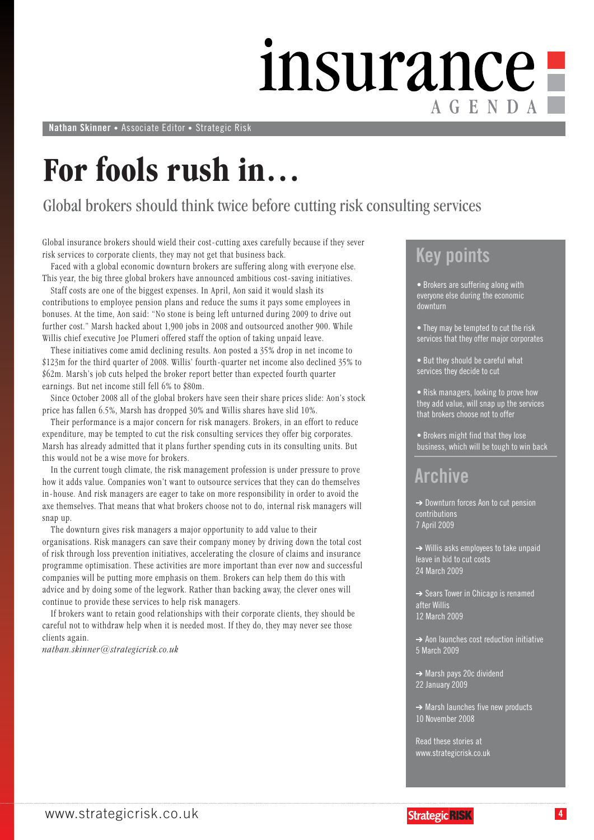### insurance AGENDA

**Nathan Skinner** • Associate Editor • Strategic Risk

### **For fools rush in…**

#### Global brokers should think twice before cutting risk consulting services

Global insurance brokers should wield their cost-cutting axes carefully because if they sever risk services to corporate clients, they may not get that business back.

Faced with a global economic downturn brokers are suffering along with everyone else. This year, the big three global brokers have announced ambitious cost-saving initiatives.

Staff costs are one of the biggest expenses. In April, Aon said it would slash its contributions to employee pension plans and reduce the sums it pays some employees in bonuses. At the time, Aon said: "No stone is being left unturned during 2009 to drive out further cost." Marsh hacked about 1,900 jobs in 2008 and outsourced another 900. While Willis chief executive Joe Plumeri offered staff the option of taking unpaid leave.

These initiatives come amid declining results. Aon posted a 35% drop in net income to \$123m for the third quarter of 2008. Willis' fourth-quarter net income also declined 35% to \$62m. Marsh's job cuts helped the broker report better than expected fourth quarter earnings. But net income still fell 6% to \$80m.

Since October 2008 all of the global brokers have seen their share prices slide: Aon's stock price has fallen 6.5%, Marsh has dropped 30% and Willis shares have slid 10%.

Their performance is a major concern for risk managers. Brokers, in an effort to reduce expenditure, may be tempted to cut the risk consulting services they offer big corporates. Marsh has already admitted that it plans further spending cuts in its consulting units. But this would not be a wise move for brokers.

In the current tough climate, the risk management profession is under pressure to prove how it adds value. Companies won't want to outsource services that they can do themselves in-house. And risk managers are eager to take on more responsibility in order to avoid the axe themselves. That means that what brokers choose not to do, internal risk managers will snap up.

The downturn gives risk managers a major opportunity to add value to their organisations. Risk managers can save their company money by driving down the total cost of risk through loss prevention initiatives, accelerating the closure of claims and insurance programme optimisation. These activities are more important than ever now and successful companies will be putting more emphasis on them. Brokers can help them do this with advice and by doing some of the legwork. Rather than backing away, the clever ones will continue to provide these services to help risk managers.

If brokers want to retain good relationships with their corporate clients, they should be careful not to withdraw help when it is needed most. If they do, they may never see those clients again.

*nathan.skinner@strategicrisk.co.uk*

#### **Key points**

• Brokers are suffering along with everyone else during the economic downturn

• They may be tempted to cut the risk services that they offer major corporates

• But they should be careful what services they decide to cut

• Risk managers, looking to prove how they add value, will snap up the services that brokers choose not to offer

• Brokers might find that they lose business, which will be tough to win back

#### **Archive**

➔ Downturn forces Aon to cut pension contributions 7 April 2009

 $\rightarrow$  Willis asks employees to take unpaid leave in bid to cut costs 24 March 2009

**→** Sears Tower in Chicago is renamed after Willis 12 March 2009

**→ Aon launches cost reduction initiative** 5 March 2009

- ➔ Marsh pays 20c dividend 22 January 2009
- **→ Marsh launches five new products** 10 November 2008

Read these stories at www.strategicrisk.co.uk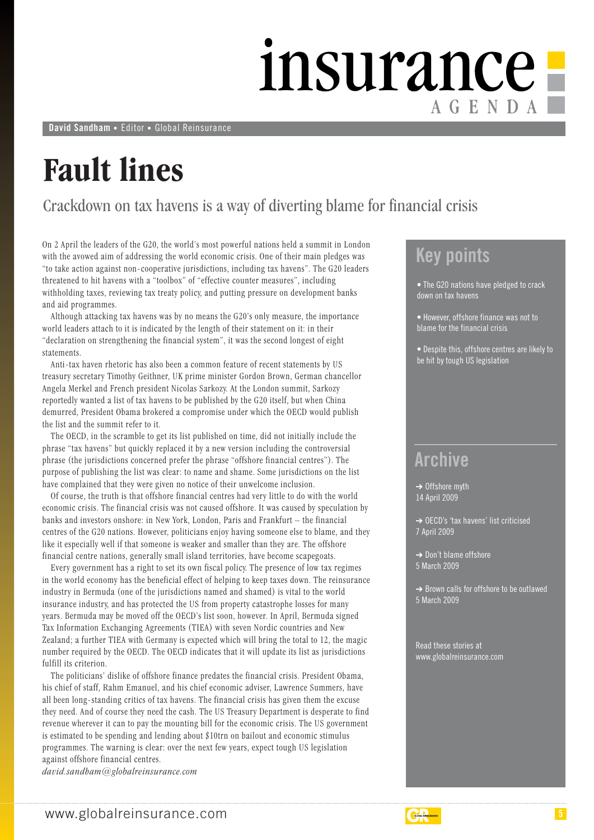### insurance<sup>1</sup> AGENDA

**David Sandham** • Editor • Global Reinsurance

### **Fault lines**

#### Crackdown on tax havens is a way of diverting blame for financial crisis

On 2 April the leaders of the G20, the world's most powerful nations held a summit in London with the avowed aim of addressing the world economic crisis. One of their main pledges was "to take action against non-cooperative jurisdictions, including tax havens". The G20 leaders threatened to hit havens with a "toolbox" of "effective counter measures", including withholding taxes, reviewing tax treaty policy, and putting pressure on development banks and aid programmes.

Although attacking tax havens was by no means the G20's only measure, the importance world leaders attach to it is indicated by the length of their statement on it: in their "declaration on strengthening the financial system", it was the second longest of eight statements.

Anti-tax haven rhetoric has also been a common feature of recent statements by US treasury secretary Timothy Geithner, UK prime minister Gordon Brown, German chancellor Angela Merkel and French president Nicolas Sarkozy. At the London summit, Sarkozy reportedly wanted a list of tax havens to be published by the G20 itself, but when China demurred, President Obama brokered a compromise under which the OECD would publish the list and the summit refer to it.

The OECD, in the scramble to get its list published on time, did not initially include the phrase "tax havens" but quickly replaced it by a new version including the controversial phrase (the jurisdictions concerned prefer the phrase "offshore financial centres"). The purpose of publishing the list was clear: to name and shame. Some jurisdictions on the list have complained that they were given no notice of their unwelcome inclusion.

Of course, the truth is that offshore financial centres had very little to do with the world economic crisis. The financial crisis was not caused offshore. It was caused by speculation by banks and investors onshore: in New York, London, Paris and Frankfurt – the financial centres of the G20 nations. However, politicians enjoy having someone else to blame, and they like it especially well if that someone is weaker and smaller than they are. The offshore financial centre nations, generally small island territories, have become scapegoats.

Every government has a right to set its own fiscal policy. The presence of low tax regimes in the world economy has the beneficial effect of helping to keep taxes down. The reinsurance industry in Bermuda (one of the jurisdictions named and shamed) is vital to the world insurance industry, and has protected the US from property catastrophe losses for many years. Bermuda may be moved off the OECD's list soon, however. In April, Bermuda signed Tax Information Exchanging Agreements (TIEA) with seven Nordic countries and New Zealand; a further TIEA with Germany is expected which will bring the total to 12, the magic number required by the OECD. The OECD indicates that it will update its list as jurisdictions fulfill its criterion.

The politicians' dislike of offshore finance predates the financial crisis. President Obama, his chief of staff, Rahm Emanuel, and his chief economic adviser, Lawrence Summers, have all been long-standing critics of tax havens. The financial crisis has given them the excuse they need. And of course they need the cash. The US Treasury Department is desperate to find revenue wherever it can to pay the mounting bill for the economic crisis. The US government is estimated to be spending and lending about \$10trn on bailout and economic stimulus programmes. The warning is clear: over the next few years, expect tough US legislation against offshore financial centres.

*david.sandham@globalreinsurance.com*

#### **Key points**

• The G20 nations have pledged to crack down on tax havens

• However, offshore finance was not to blame for the financial crisis

• Despite this, offshore centres are likely to be hit by tough US legislation

#### **Archive**

 $\rightarrow$  Offshore myth 14 April 2009

➔ OECD's 'tax havens' list criticised 7 April 2009

➔ Don't blame offshore 5 March 2009

➔ Brown calls for offshore to be outlawed 5 March 2009

Read these stories at www.globalreinsurance.com